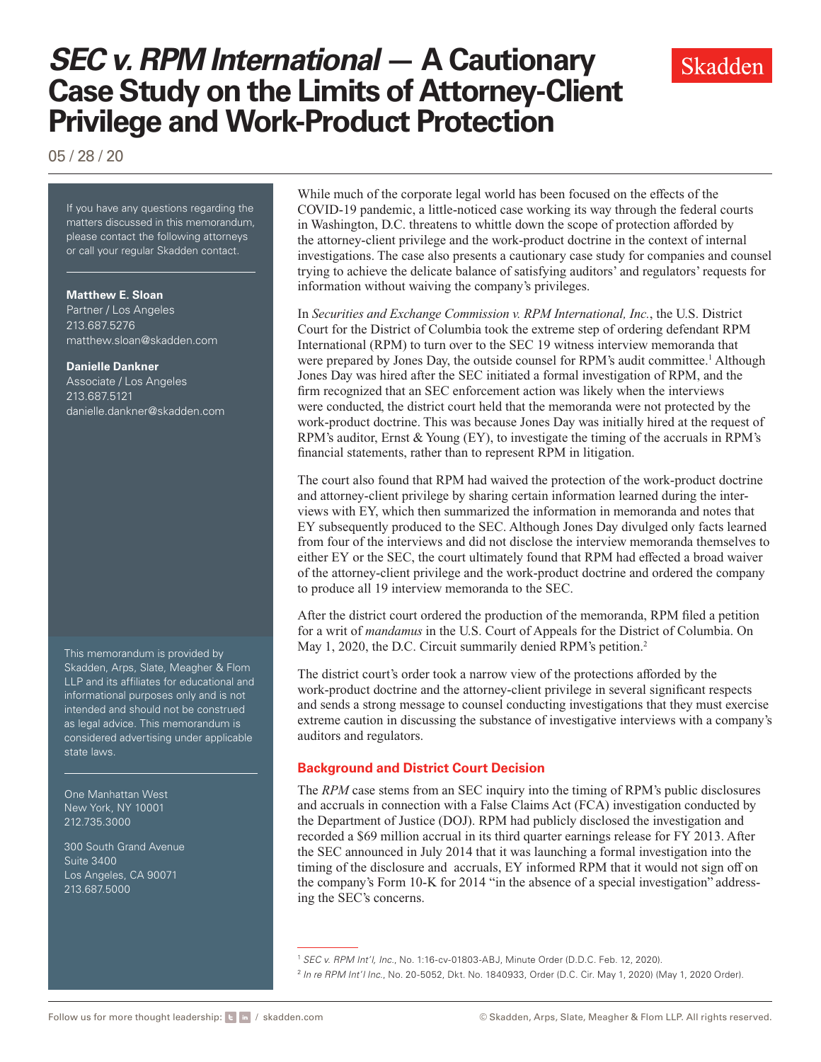05 / 28 / 20

If you have any questions regarding If you have any questions regarding the matters discussed in this memorandum, please contact the following attorneys or call your regular Skadden contact.

#### **Matthew E. Sloan**

Partner / Los Angeles 213.687.5276 [matthew.sloan@skadden.com](mailto:matthew.sloan@skadden.com)

#### **Danielle Dankner**

Associate / Los Angeles 213.687.5121 [danielle.dankner@skadden.com](mailto:danielle.dankner@skadden.com )

This memorandum is provided by Skadden, Arps, Slate, Meagher & Flom LLP and its affiliates for educational and informational purposes only and is not intended and should not be construed as legal advice. This memorandum is considered advertising under applicable state laws.

One Manhattan West New York, NY 10001 212.735.3000

300 South Grand Avenue Suite 3400 Los Angeles, CA 90071 213.687.5000

While much of the corporate legal world has been focused on the effects of the COVID-19 pandemic, a little-noticed case working its way through the federal courts in Washington, D.C. threatens to whittle down the scope of protection afforded by the attorney-client privilege and the work-product doctrine in the context of internal investigations. The case also presents a cautionary case study for companies and counsel trying to achieve the delicate balance of satisfying auditors' and regulators' requests for information without waiving the company's privileges.

In *Securities and Exchange Commission v. RPM International, Inc.*, the U.S. District Court for the District of Columbia took the extreme step of ordering defendant RPM International (RPM) to turn over to the SEC 19 witness interview memoranda that were prepared by Jones Day, the outside counsel for RPM's audit committee.<sup>1</sup> Although Jones Day was hired after the SEC initiated a formal investigation of RPM, and the firm recognized that an SEC enforcement action was likely when the interviews were conducted, the district court held that the memoranda were not protected by the work-product doctrine. This was because Jones Day was initially hired at the request of RPM's auditor, Ernst & Young (EY), to investigate the timing of the accruals in RPM's financial statements, rather than to represent RPM in litigation.

The court also found that RPM had waived the protection of the work-product doctrine and attorney-client privilege by sharing certain information learned during the interviews with EY, which then summarized the information in memoranda and notes that EY subsequently produced to the SEC. Although Jones Day divulged only facts learned from four of the interviews and did not disclose the interview memoranda themselves to either EY or the SEC, the court ultimately found that RPM had effected a broad waiver of the attorney-client privilege and the work-product doctrine and ordered the company to produce all 19 interview memoranda to the SEC.

After the district court ordered the production of the memoranda, RPM filed a petition for a writ of *mandamus* in the U.S. Court of Appeals for the District of Columbia. On May 1, 2020, the D.C. Circuit summarily denied RPM's petition.<sup>2</sup>

The district court's order took a narrow view of the protections afforded by the work-product doctrine and the attorney-client privilege in several significant respects and sends a strong message to counsel conducting investigations that they must exercise extreme caution in discussing the substance of investigative interviews with a company's auditors and regulators.

### **Background and District Court Decision**

The *RPM* case stems from an SEC inquiry into the timing of RPM's public disclosures and accruals in connection with a False Claims Act (FCA) investigation conducted by the Department of Justice (DOJ). RPM had publicly disclosed the investigation and recorded a \$69 million accrual in its third quarter earnings release for FY 2013. After the SEC announced in July 2014 that it was launching a formal investigation into the timing of the disclosure and accruals, EY informed RPM that it would not sign off on the company's Form 10-K for 2014 "in the absence of a special investigation" addressing the SEC's concerns.



<sup>1</sup> *SEC v. RPM Int'l, Inc*., No. 1:16-cv-01803-ABJ, Minute Order (D.D.C. Feb. 12, 2020).

<sup>2</sup> *In re RPM Int'l Inc.*, No. 20-5052, Dkt. No. 1840933, Order (D.C. Cir. May 1, 2020) (May 1, 2020 Order).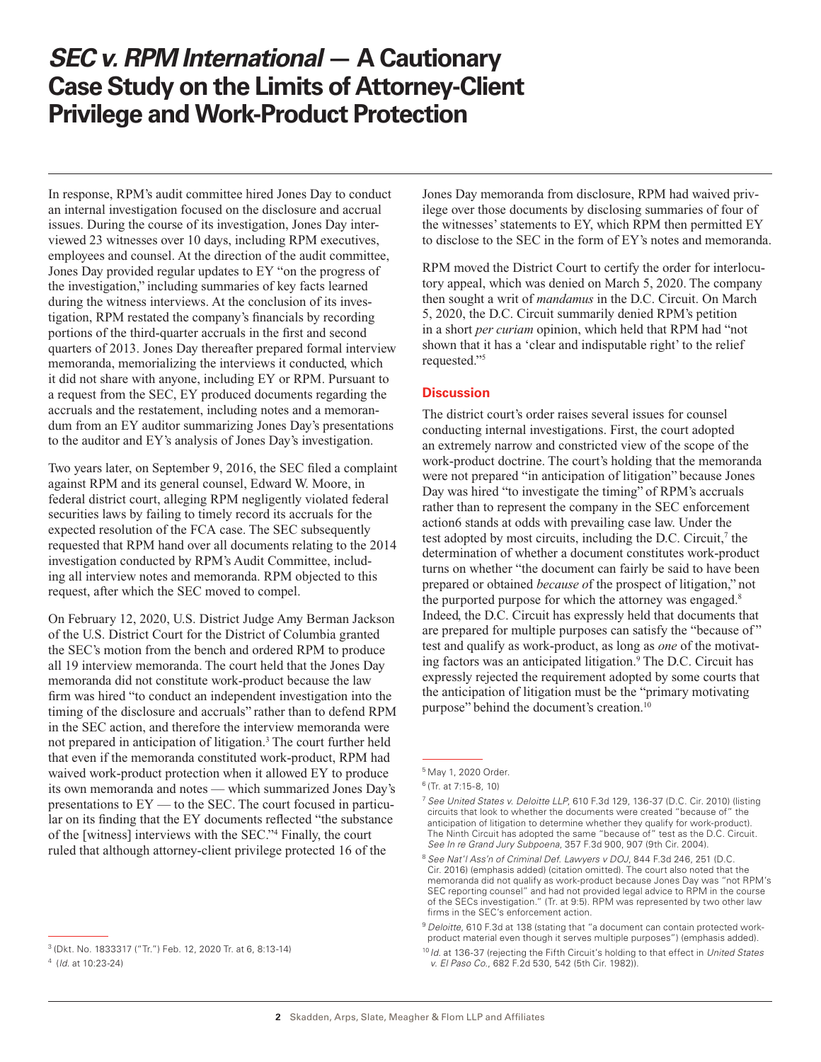In response, RPM's audit committee hired Jones Day to conduct an internal investigation focused on the disclosure and accrual issues. During the course of its investigation, Jones Day interviewed 23 witnesses over 10 days, including RPM executives, employees and counsel. At the direction of the audit committee, Jones Day provided regular updates to EY "on the progress of the investigation," including summaries of key facts learned during the witness interviews. At the conclusion of its investigation, RPM restated the company's financials by recording portions of the third-quarter accruals in the first and second quarters of 2013. Jones Day thereafter prepared formal interview memoranda, memorializing the interviews it conducted, which it did not share with anyone, including EY or RPM. Pursuant to a request from the SEC, EY produced documents regarding the accruals and the restatement, including notes and a memorandum from an EY auditor summarizing Jones Day's presentations to the auditor and EY's analysis of Jones Day's investigation.

Two years later, on September 9, 2016, the SEC filed a complaint against RPM and its general counsel, Edward W. Moore, in federal district court, alleging RPM negligently violated federal securities laws by failing to timely record its accruals for the expected resolution of the FCA case. The SEC subsequently requested that RPM hand over all documents relating to the 2014 investigation conducted by RPM's Audit Committee, including all interview notes and memoranda. RPM objected to this request, after which the SEC moved to compel.

On February 12, 2020, U.S. District Judge Amy Berman Jackson of the U.S. District Court for the District of Columbia granted the SEC's motion from the bench and ordered RPM to produce all 19 interview memoranda. The court held that the Jones Day memoranda did not constitute work-product because the law firm was hired "to conduct an independent investigation into the timing of the disclosure and accruals" rather than to defend RPM in the SEC action, and therefore the interview memoranda were not prepared in anticipation of litigation.<sup>3</sup> The court further held that even if the memoranda constituted work-product, RPM had waived work-product protection when it allowed EY to produce its own memoranda and notes — which summarized Jones Day's presentations to EY — to the SEC. The court focused in particular on its finding that the EY documents reflected "the substance of the [witness] interviews with the SEC."4 Finally, the court ruled that although attorney-client privilege protected 16 of the

Jones Day memoranda from disclosure, RPM had waived privilege over those documents by disclosing summaries of four of the witnesses' statements to EY, which RPM then permitted EY to disclose to the SEC in the form of EY's notes and memoranda.

RPM moved the District Court to certify the order for interlocutory appeal, which was denied on March 5, 2020. The company then sought a writ of *mandamus* in the D.C. Circuit. On March 5, 2020, the D.C. Circuit summarily denied RPM's petition in a short *per curiam* opinion, which held that RPM had "not shown that it has a 'clear and indisputable right' to the relief requested."5

### **Discussion**

The district court's order raises several issues for counsel conducting internal investigations. First, the court adopted an extremely narrow and constricted view of the scope of the work-product doctrine. The court's holding that the memoranda were not prepared "in anticipation of litigation" because Jones Day was hired "to investigate the timing" of RPM's accruals rather than to represent the company in the SEC enforcement action6 stands at odds with prevailing case law. Under the test adopted by most circuits, including the D.C. Circuit,<sup>7</sup> the determination of whether a document constitutes work-product turns on whether "the document can fairly be said to have been prepared or obtained *because o*f the prospect of litigation," not the purported purpose for which the attorney was engaged.<sup>8</sup> Indeed, the D.C. Circuit has expressly held that documents that are prepared for multiple purposes can satisfy the "because of " test and qualify as work-product, as long as *one* of the motivating factors was an anticipated litigation.<sup>9</sup> The D.C. Circuit has expressly rejected the requirement adopted by some courts that the anticipation of litigation must be the "primary motivating purpose" behind the document's creation.10

<sup>9</sup> Deloitte, 610 F.3d at 138 (stating that "a document can contain protected workproduct material even though it serves multiple purposes") (emphasis added).

<sup>10</sup> *Id.* at 136-37 (rejecting the Fifth Circuit's holding to that effect in *United States v. El Paso Co.*, 682 F.2d 530, 542 (5th Cir. 1982)).

<sup>3</sup> (Dkt. No. 1833317 ("Tr.") Feb. 12, 2020 Tr. at 6, 8:13-14)

<sup>4 (</sup>*Id.* at 10:23-24)

<sup>5</sup> May 1, 2020 Order.

<sup>6</sup> (Tr. at 7:15-8, 10)

<sup>7</sup> *See United States v. Deloitte LLP*, 610 F.3d 129, 136-37 (D.C. Cir. 2010) (listing circuits that look to whether the documents were created "because of" the anticipation of litigation to determine whether they qualify for work-product). The Ninth Circuit has adopted the same "because of" test as the D.C. Circuit. *See In re Grand Jury Subpoena*, 357 F.3d 900, 907 (9th Cir. 2004).

<sup>8</sup> *See Nat'l Ass'n of Criminal Def. Lawyers v DOJ*, 844 F.3d 246, 251 (D.C. Cir. 2016) (emphasis added) (citation omitted). The court also noted that the memoranda did not qualify as work-product because Jones Day was "not RPM's SEC reporting counsel" and had not provided legal advice to RPM in the course of the SECs investigation." (Tr. at 9:5). RPM was represented by two other law firms in the SEC's enforcement action.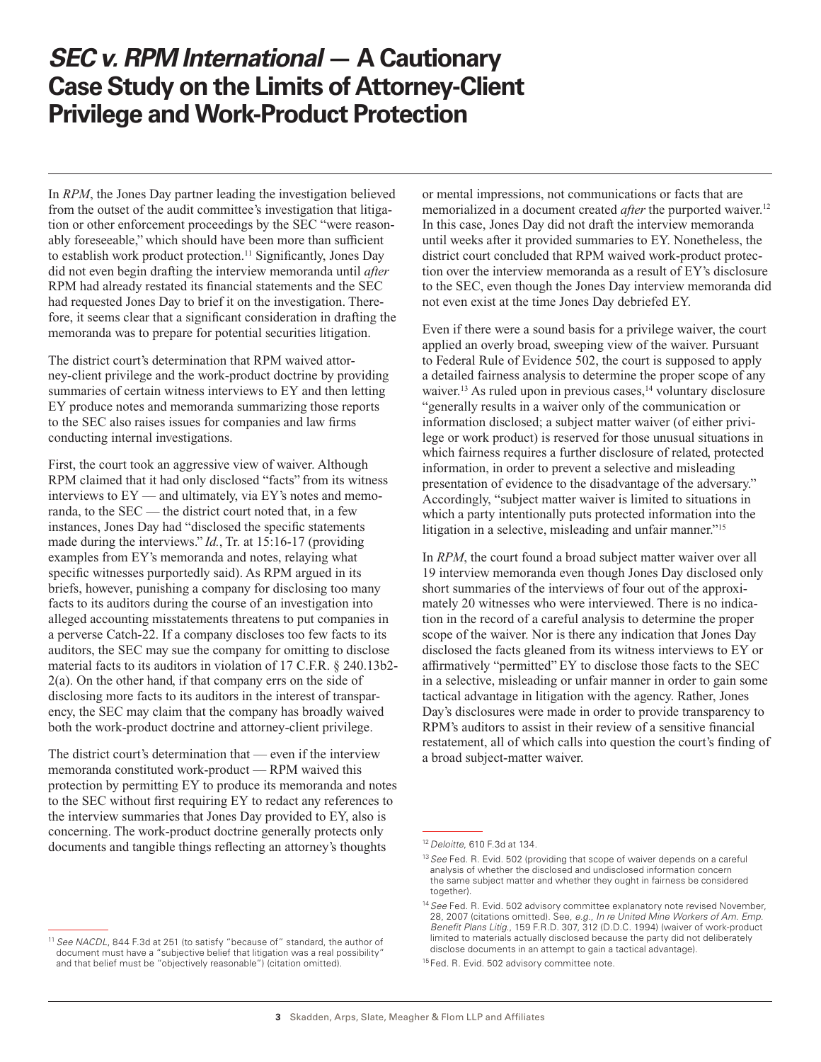In *RPM*, the Jones Day partner leading the investigation believed from the outset of the audit committee's investigation that litigation or other enforcement proceedings by the SEC "were reasonably foreseeable," which should have been more than sufficient to establish work product protection.<sup>11</sup> Significantly, Jones Day did not even begin drafting the interview memoranda until *after* RPM had already restated its financial statements and the SEC had requested Jones Day to brief it on the investigation. Therefore, it seems clear that a significant consideration in drafting the memoranda was to prepare for potential securities litigation.

The district court's determination that RPM waived attorney-client privilege and the work-product doctrine by providing summaries of certain witness interviews to EY and then letting EY produce notes and memoranda summarizing those reports to the SEC also raises issues for companies and law firms conducting internal investigations.

First, the court took an aggressive view of waiver. Although RPM claimed that it had only disclosed "facts" from its witness interviews to EY — and ultimately, via EY's notes and memoranda, to the SEC — the district court noted that, in a few instances, Jones Day had "disclosed the specific statements made during the interviews." *Id.*, Tr. at 15:16-17 (providing examples from EY's memoranda and notes, relaying what specific witnesses purportedly said). As RPM argued in its briefs, however, punishing a company for disclosing too many facts to its auditors during the course of an investigation into alleged accounting misstatements threatens to put companies in a perverse Catch-22. If a company discloses too few facts to its auditors, the SEC may sue the company for omitting to disclose material facts to its auditors in violation of 17 C.F.R. § 240.13b2- 2(a). On the other hand, if that company errs on the side of disclosing more facts to its auditors in the interest of transparency, the SEC may claim that the company has broadly waived both the work-product doctrine and attorney-client privilege.

The district court's determination that — even if the interview memoranda constituted work-product — RPM waived this protection by permitting EY to produce its memoranda and notes to the SEC without first requiring EY to redact any references to the interview summaries that Jones Day provided to EY, also is concerning. The work-product doctrine generally protects only documents and tangible things reflecting an attorney's thoughts

or mental impressions, not communications or facts that are memorialized in a document created *after* the purported waiver.<sup>12</sup> In this case, Jones Day did not draft the interview memoranda until weeks after it provided summaries to EY. Nonetheless, the district court concluded that RPM waived work-product protection over the interview memoranda as a result of EY's disclosure to the SEC, even though the Jones Day interview memoranda did not even exist at the time Jones Day debriefed EY.

Even if there were a sound basis for a privilege waiver, the court applied an overly broad, sweeping view of the waiver. Pursuant to Federal Rule of Evidence 502, the court is supposed to apply a detailed fairness analysis to determine the proper scope of any waiver.<sup>13</sup> As ruled upon in previous cases,<sup>14</sup> voluntary disclosure "generally results in a waiver only of the communication or information disclosed; a subject matter waiver (of either privilege or work product) is reserved for those unusual situations in which fairness requires a further disclosure of related, protected information, in order to prevent a selective and misleading presentation of evidence to the disadvantage of the adversary." Accordingly, "subject matter waiver is limited to situations in which a party intentionally puts protected information into the litigation in a selective, misleading and unfair manner."<sup>15</sup>

In *RPM*, the court found a broad subject matter waiver over all 19 interview memoranda even though Jones Day disclosed only short summaries of the interviews of four out of the approximately 20 witnesses who were interviewed. There is no indication in the record of a careful analysis to determine the proper scope of the waiver. Nor is there any indication that Jones Day disclosed the facts gleaned from its witness interviews to EY or affirmatively "permitted" EY to disclose those facts to the SEC in a selective, misleading or unfair manner in order to gain some tactical advantage in litigation with the agency. Rather, Jones Day's disclosures were made in order to provide transparency to RPM's auditors to assist in their review of a sensitive financial restatement, all of which calls into question the court's finding of a broad subject-matter waiver.

<sup>&</sup>lt;sup>11</sup> See NACDL, 844 F.3d at 251 (to satisfy "because of" standard, the author of document must have a "subjective belief that litigation was a real possibility" and that belief must be "objectively reasonable") (citation omitted).

<sup>12</sup>*Deloitte*, 610 F.3d at 134.

<sup>13</sup>*See* Fed. R. Evid. 502 (providing that scope of waiver depends on a careful analysis of whether the disclosed and undisclosed information concern the same subject matter and whether they ought in fairness be considered together).

<sup>14</sup>*See* Fed. R. Evid. 502 advisory committee explanatory note revised November, 28, 2007 (citations omitted). See, *e.g*., *In re United Mine Workers of Am. Emp. Benefit Plans Litig.*, 159 F.R.D. 307, 312 (D.D.C. 1994) (waiver of work-product limited to materials actually disclosed because the party did not deliberately disclose documents in an attempt to gain a tactical advantage).

<sup>&</sup>lt;sup>15</sup> Fed. R. Evid. 502 advisory committee note.